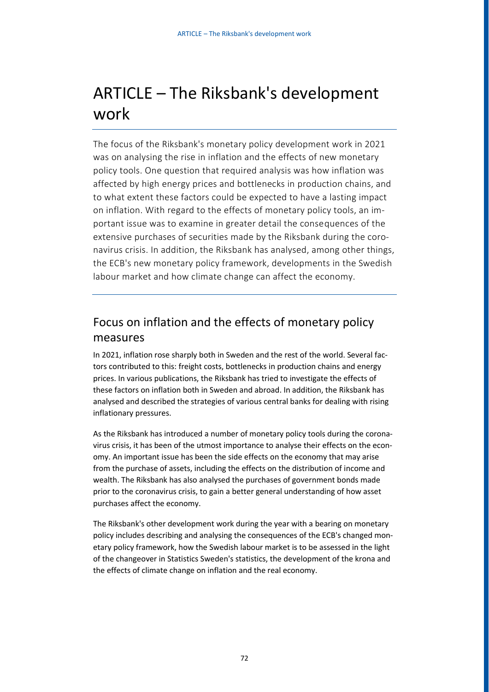# ARTICLE – The Riksbank's development work

The focus of the Riksbank's monetary policy development work in 2021 was on analysing the rise in inflation and the effects of new monetary policy tools. One question that required analysis was how inflation was affected by high energy prices and bottlenecks in production chains, and to what extent these factors could be expected to have a lasting impact on inflation. With regard to the effects of monetary policy tools, an important issue was to examine in greater detail the consequences of the extensive purchases of securities made by the Riksbank during the coronavirus crisis. In addition, the Riksbank has analysed, among other things, the ECB's new monetary policy framework, developments in the Swedish labour market and how climate change can affect the economy.

# Focus on inflation and the effects of monetary policy measures

In 2021, inflation rose sharply both in Sweden and the rest of the world. Several factors contributed to this: freight costs, bottlenecks in production chains and energy prices. In various publications, the Riksbank has tried to investigate the effects of these factors on inflation both in Sweden and abroad. In addition, the Riksbank has analysed and described the strategies of various central banks for dealing with rising inflationary pressures.

As the Riksbank has introduced a number of monetary policy tools during the coronavirus crisis, it has been of the utmost importance to analyse their effects on the economy. An important issue has been the side effects on the economy that may arise from the purchase of assets, including the effects on the distribution of income and wealth. The Riksbank has also analysed the purchases of government bonds made prior to the coronavirus crisis, to gain a better general understanding of how asset purchases affect the economy.

The Riksbank's other development work during the year with a bearing on monetary policy includes describing and analysing the consequences of the ECB's changed monetary policy framework, how the Swedish labour market is to be assessed in the light of the changeover in Statistics Sweden's statistics, the development of the krona and the effects of climate change on inflation and the real economy.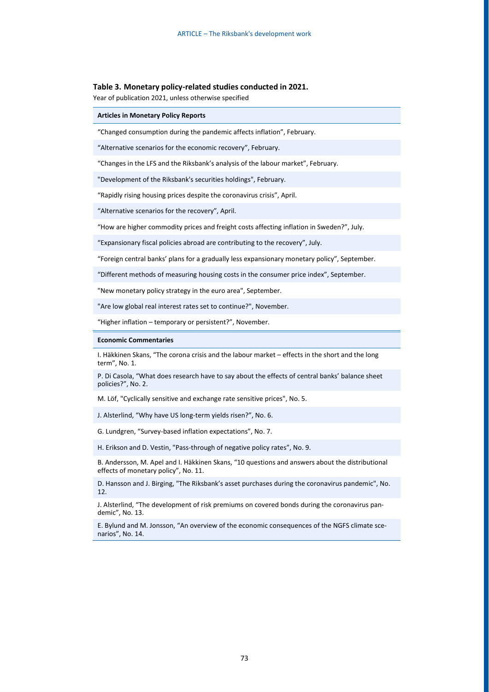### **Table 3. Monetary policy-related studies conducted in 2021.**

Year of publication 2021, unless otherwise specified

# **Articles in Monetary Policy Reports**

"Changed consumption during the pandemic affects inflation", February.

"Alternative scenarios for the economic recovery", February.

"Changes in the LFS and the Riksbank's analysis of the labour market", February.

"Development of the Riksbank's securities holdings", February.

"Rapidly rising housing prices despite the coronavirus crisis", April.

"Alternative scenarios for the recovery", April.

"How are higher commodity prices and freight costs affecting inflation in Sweden?", July.

"Expansionary fiscal policies abroad are contributing to the recovery", July.

"Foreign central banks' plans for a gradually less expansionary monetary policy", September.

"Different methods of measuring housing costs in the consumer price index", September.

"New monetary policy strategy in the euro area", September.

"Are low global real interest rates set to continue?", November.

"Higher inflation – temporary or persistent?", November.

#### **Economic Commentaries**

I. Häkkinen Skans, "The corona crisis and the labour market – effects in the short and the long term", No. 1.

P. Di Casola, "What does research have to say about the effects of central banks' balance sheet policies?", No. 2.

M. Löf, "Cyclically sensitive and exchange rate sensitive prices", No. 5.

J. Alsterlind, "Why have US long-term yields risen?", No. 6.

G. Lundgren, "Survey-based inflation expectations", No. 7.

H. Erikson and D. Vestin, "Pass-through of negative policy rates", No. 9.

B. Andersson, M. Apel and I. Häkkinen Skans, "10 questions and answers about the distributional effects of monetary policy", No. 11.

D. Hansson and J. Birging, "The Riksbank's asset purchases during the coronavirus pandemic", No. 12.

J. Alsterlind, "The development of risk premiums on covered bonds during the coronavirus pandemic", No. 13.

E. Bylund and M. Jonsson, "An overview of the economic consequences of the NGFS climate scenarios", No. 14.